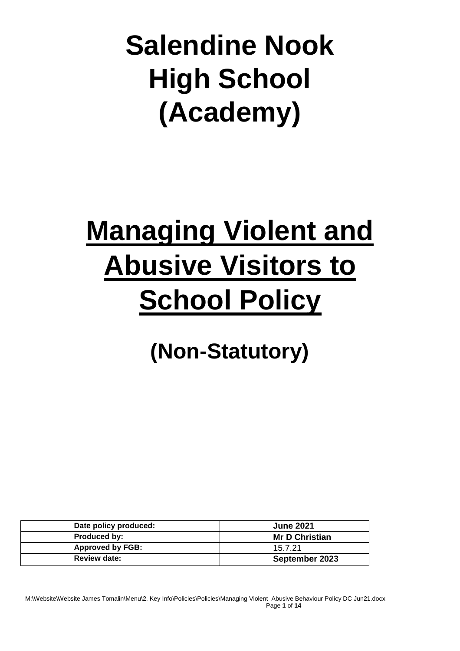**Salendine Nook High School (Academy)**

# **Managing Violent and Abusive Visitors to School Policy**

## **(Non-Statutory)**

| Date policy produced:   | <b>June 2021</b>      |
|-------------------------|-----------------------|
| Produced by:            | <b>Mr D Christian</b> |
| <b>Approved by FGB:</b> | 15.7.21               |
| <b>Review date:</b>     | September 2023        |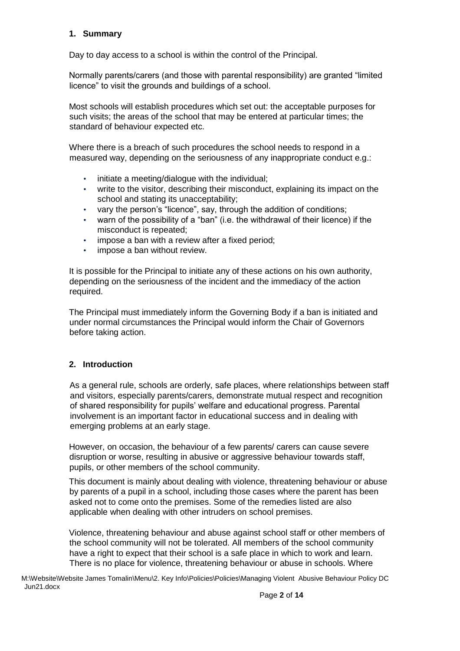#### **1. Summary**

Day to day access to a school is within the control of the Principal.

Normally parents/carers (and those with parental responsibility) are granted "limited licence" to visit the grounds and buildings of a school.

Most schools will establish procedures which set out: the acceptable purposes for such visits; the areas of the school that may be entered at particular times; the standard of behaviour expected etc.

Where there is a breach of such procedures the school needs to respond in a measured way, depending on the seriousness of any inappropriate conduct e.g.:

- initiate a meeting/dialogue with the individual;
- write to the visitor, describing their misconduct, explaining its impact on the school and stating its unacceptability;
- vary the person's "licence", say, through the addition of conditions;
- warn of the possibility of a "ban" (i.e. the withdrawal of their licence) if the misconduct is repeated;
- impose a ban with a review after a fixed period;
- impose a ban without review.

It is possible for the Principal to initiate any of these actions on his own authority, depending on the seriousness of the incident and the immediacy of the action required.

The Principal must immediately inform the Governing Body if a ban is initiated and under normal circumstances the Principal would inform the Chair of Governors before taking action.

#### **2. Introduction**

As a general rule, schools are orderly, safe places, where relationships between staff and visitors, especially parents/carers, demonstrate mutual respect and recognition of shared responsibility for pupils' welfare and educational progress. Parental involvement is an important factor in educational success and in dealing with emerging problems at an early stage.

However, on occasion, the behaviour of a few parents/ carers can cause severe disruption or worse, resulting in abusive or aggressive behaviour towards staff, pupils, or other members of the school community.

This document is mainly about dealing with violence, threatening behaviour or abuse by parents of a pupil in a school, including those cases where the parent has been asked not to come onto the premises. Some of the remedies listed are also applicable when dealing with other intruders on school premises.

Violence, threatening behaviour and abuse against school staff or other members of the school community will not be tolerated. All members of the school community have a right to expect that their school is a safe place in which to work and learn. There is no place for violence, threatening behaviour or abuse in schools. Where

M:\Website\Website James Tomalin\Menu\2. Key Info\Policies\Policies\Managing Violent Abusive Behaviour Policy DC Jun21.docx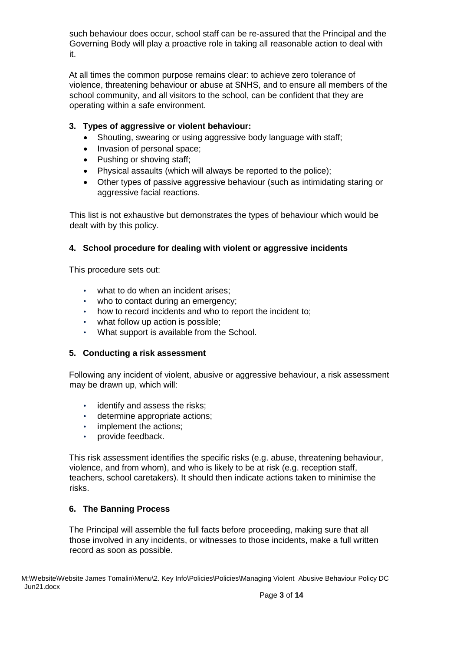such behaviour does occur, school staff can be re-assured that the Principal and the Governing Body will play a proactive role in taking all reasonable action to deal with it.

At all times the common purpose remains clear: to achieve zero tolerance of violence, threatening behaviour or abuse at SNHS, and to ensure all members of the school community, and all visitors to the school, can be confident that they are operating within a safe environment.

### **3. Types of aggressive or violent behaviour:**

- Shouting, swearing or using aggressive body language with staff;
- Invasion of personal space;
- Pushing or shoving staff;
- Physical assaults (which will always be reported to the police);
- Other types of passive aggressive behaviour (such as intimidating staring or aggressive facial reactions.

This list is not exhaustive but demonstrates the types of behaviour which would be dealt with by this policy.

#### **4. School procedure for dealing with violent or aggressive incidents**

This procedure sets out:

- what to do when an incident arises;
- who to contact during an emergency;
- how to record incidents and who to report the incident to;
- what follow up action is possible;
- What support is available from the School.

#### **5. Conducting a risk assessment**

Following any incident of violent, abusive or aggressive behaviour, a risk assessment may be drawn up, which will:

- identify and assess the risks;
- determine appropriate actions;
- implement the actions;
- provide feedback.

This risk assessment identifies the specific risks (e.g. abuse, threatening behaviour, violence, and from whom), and who is likely to be at risk (e.g. reception staff, teachers, school caretakers). It should then indicate actions taken to minimise the risks.

#### **6. The Banning Process**

The Principal will assemble the full facts before proceeding, making sure that all those involved in any incidents, or witnesses to those incidents, make a full written record as soon as possible.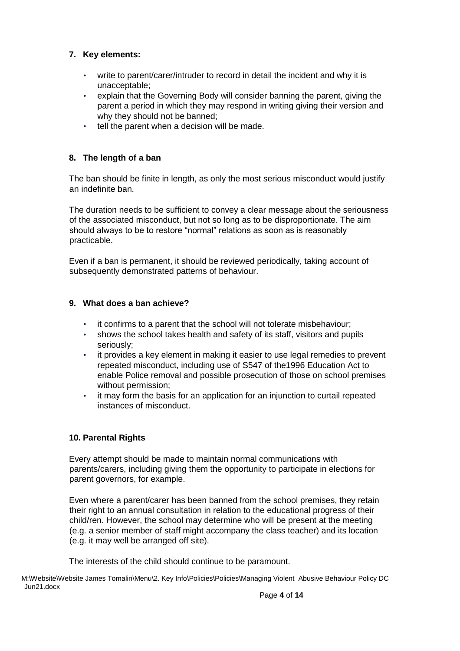### **7. Key elements:**

- write to parent/carer/intruder to record in detail the incident and why it is unacceptable;
- explain that the Governing Body will consider banning the parent, giving the parent a period in which they may respond in writing giving their version and why they should not be banned;
- tell the parent when a decision will be made.

#### **8. The length of a ban**

The ban should be finite in length, as only the most serious misconduct would justify an indefinite ban.

The duration needs to be sufficient to convey a clear message about the seriousness of the associated misconduct, but not so long as to be disproportionate. The aim should always to be to restore "normal" relations as soon as is reasonably practicable.

Even if a ban is permanent, it should be reviewed periodically, taking account of subsequently demonstrated patterns of behaviour.

#### **9. What does a ban achieve?**

- it confirms to a parent that the school will not tolerate misbehaviour;
- shows the school takes health and safety of its staff, visitors and pupils seriously;
- it provides a key element in making it easier to use legal remedies to prevent repeated misconduct, including use of S547 of the1996 Education Act to enable Police removal and possible prosecution of those on school premises without permission;
- it may form the basis for an application for an injunction to curtail repeated instances of misconduct.

#### **10. Parental Rights**

Every attempt should be made to maintain normal communications with parents/carers, including giving them the opportunity to participate in elections for parent governors, for example.

Even where a parent/carer has been banned from the school premises, they retain their right to an annual consultation in relation to the educational progress of their child/ren. However, the school may determine who will be present at the meeting (e.g. a senior member of staff might accompany the class teacher) and its location (e.g. it may well be arranged off site).

The interests of the child should continue to be paramount.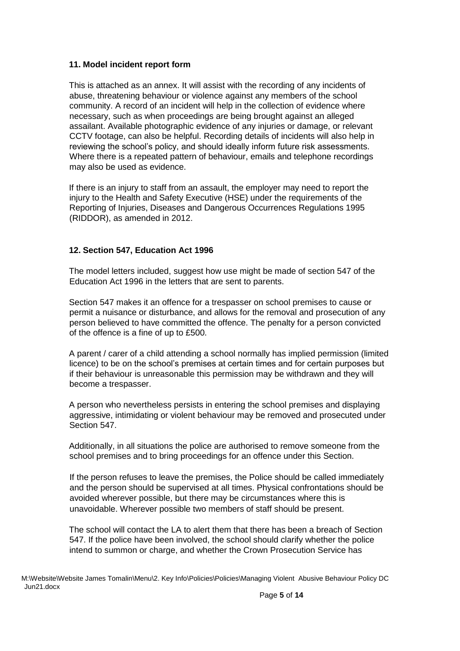#### **11. Model incident report form**

This is attached as an annex. It will assist with the recording of any incidents of abuse, threatening behaviour or violence against any members of the school community. A record of an incident will help in the collection of evidence where necessary, such as when proceedings are being brought against an alleged assailant. Available photographic evidence of any injuries or damage, or relevant CCTV footage, can also be helpful. Recording details of incidents will also help in reviewing the school's policy, and should ideally inform future risk assessments. Where there is a repeated pattern of behaviour, emails and telephone recordings may also be used as evidence.

If there is an injury to staff from an assault, the employer may need to report the injury to the Health and Safety Executive (HSE) under the requirements of the Reporting of Injuries, Diseases and Dangerous Occurrences Regulations 1995 (RIDDOR), as amended in 2012.

#### **12. Section 547, Education Act 1996**

The model letters included, suggest how use might be made of section 547 of the Education Act 1996 in the letters that are sent to parents.

Section 547 makes it an offence for a trespasser on school premises to cause or permit a nuisance or disturbance, and allows for the removal and prosecution of any person believed to have committed the offence. The penalty for a person convicted of the offence is a fine of up to £500.

A parent / carer of a child attending a school normally has implied permission (limited licence) to be on the school's premises at certain times and for certain purposes but if their behaviour is unreasonable this permission may be withdrawn and they will become a trespasser.

A person who nevertheless persists in entering the school premises and displaying aggressive, intimidating or violent behaviour may be removed and prosecuted under Section 547.

Additionally, in all situations the police are authorised to remove someone from the school premises and to bring proceedings for an offence under this Section.

If the person refuses to leave the premises, the Police should be called immediately and the person should be supervised at all times. Physical confrontations should be avoided wherever possible, but there may be circumstances where this is unavoidable. Wherever possible two members of staff should be present.

The school will contact the LA to alert them that there has been a breach of Section 547. If the police have been involved, the school should clarify whether the police intend to summon or charge, and whether the Crown Prosecution Service has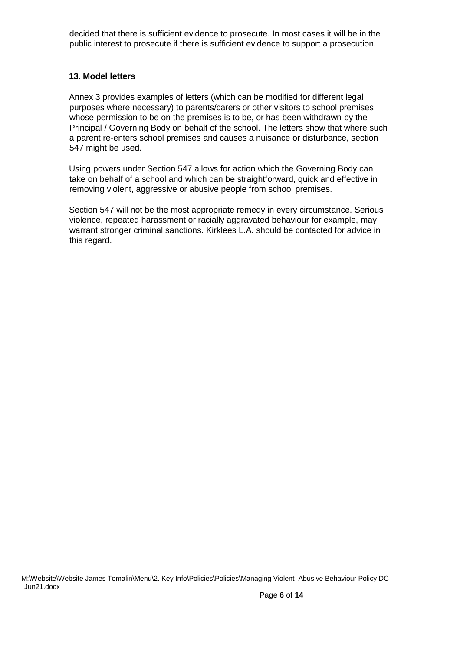decided that there is sufficient evidence to prosecute. In most cases it will be in the public interest to prosecute if there is sufficient evidence to support a prosecution.

#### **13. Model letters**

Annex 3 provides examples of letters (which can be modified for different legal purposes where necessary) to parents/carers or other visitors to school premises whose permission to be on the premises is to be, or has been withdrawn by the Principal / Governing Body on behalf of the school. The letters show that where such a parent re-enters school premises and causes a nuisance or disturbance, section 547 might be used.

Using powers under Section 547 allows for action which the Governing Body can take on behalf of a school and which can be straightforward, quick and effective in removing violent, aggressive or abusive people from school premises.

Section 547 will not be the most appropriate remedy in every circumstance. Serious violence, repeated harassment or racially aggravated behaviour for example, may warrant stronger criminal sanctions. Kirklees L.A. should be contacted for advice in this regard.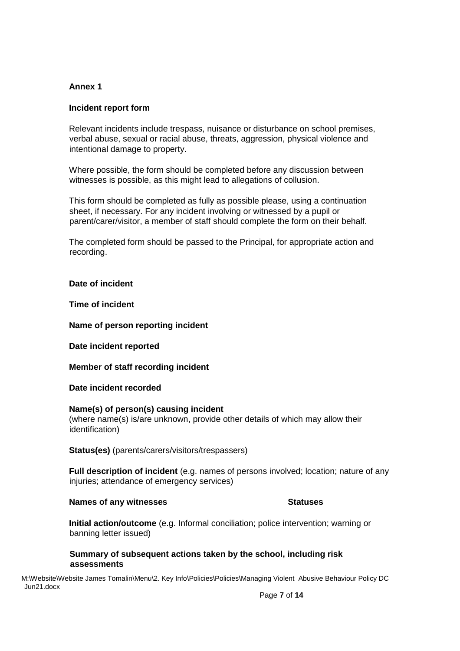#### **Annex 1**

#### **Incident report form**

Relevant incidents include trespass, nuisance or disturbance on school premises, verbal abuse, sexual or racial abuse, threats, aggression, physical violence and intentional damage to property.

Where possible, the form should be completed before any discussion between witnesses is possible, as this might lead to allegations of collusion.

This form should be completed as fully as possible please, using a continuation sheet, if necessary. For any incident involving or witnessed by a pupil or parent/carer/visitor, a member of staff should complete the form on their behalf.

The completed form should be passed to the Principal, for appropriate action and recording.

#### **Date of incident**

**Time of incident** 

#### **Name of person reporting incident**

**Date incident reported** 

**Member of staff recording incident** 

**Date incident recorded** 

#### **Name(s) of person(s) causing incident**

(where name(s) is/are unknown, provide other details of which may allow their identification)

**Status(es)** (parents/carers/visitors/trespassers)

**Full description of incident** (e.g. names of persons involved; location; nature of any injuries; attendance of emergency services)

#### **Names of any witnesses Statuses** Statuses

**Initial action/outcome** (e.g. Informal conciliation; police intervention; warning or banning letter issued)

#### **Summary of subsequent actions taken by the school, including risk assessments**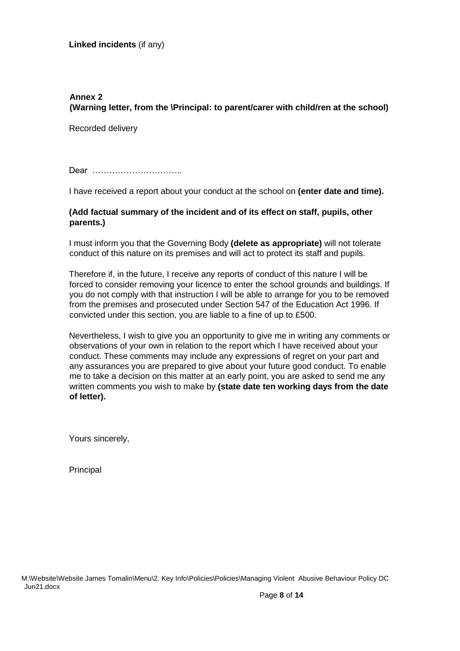### **Annex 2 (Warning letter, from the \Principal: to parent/carer with child/ren at the school)**

Recorded delivery

Dear …………………………

I have received a report about your conduct at the school on **(enter date and time).**

#### **(Add factual summary of the incident and of its effect on staff, pupils, other parents.)**

I must inform you that the Governing Body **(delete as appropriate)** will not tolerate conduct of this nature on its premises and will act to protect its staff and pupils.

Therefore if, in the future, I receive any reports of conduct of this nature I will be forced to consider removing your licence to enter the school grounds and buildings. If you do not comply with that instruction I will be able to arrange for you to be removed from the premises and prosecuted under Section 547 of the Education Act 1996. If convicted under this section, you are liable to a fine of up to £500.

Nevertheless, I wish to give you an opportunity to give me in writing any comments or observations of your own in relation to the report which I have received about your conduct. These comments may include any expressions of regret on your part and any assurances you are prepared to give about your future good conduct. To enable me to take a decision on this matter at an early point, you are asked to send me any written comments you wish to make by **(state date ten working days from the date of letter).**

Yours sincerely,

**Principal**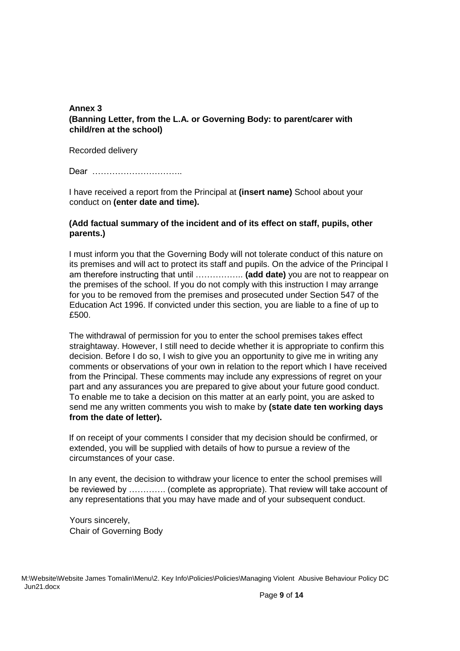#### **Annex 3 (Banning Letter, from the L.A. or Governing Body: to parent/carer with child/ren at the school)**

Recorded delivery

Dear …………………………..

I have received a report from the Principal at **(insert name)** School about your conduct on **(enter date and time).**

#### **(Add factual summary of the incident and of its effect on staff, pupils, other parents.)**

I must inform you that the Governing Body will not tolerate conduct of this nature on its premises and will act to protect its staff and pupils. On the advice of the Principal I am therefore instructing that until …………….. **(add date)** you are not to reappear on the premises of the school. If you do not comply with this instruction I may arrange for you to be removed from the premises and prosecuted under Section 547 of the Education Act 1996. If convicted under this section, you are liable to a fine of up to £500.

The withdrawal of permission for you to enter the school premises takes effect straightaway. However, I still need to decide whether it is appropriate to confirm this decision. Before I do so, I wish to give you an opportunity to give me in writing any comments or observations of your own in relation to the report which I have received from the Principal. These comments may include any expressions of regret on your part and any assurances you are prepared to give about your future good conduct. To enable me to take a decision on this matter at an early point, you are asked to send me any written comments you wish to make by **(state date ten working days from the date of letter).**

If on receipt of your comments I consider that my decision should be confirmed, or extended, you will be supplied with details of how to pursue a review of the circumstances of your case.

In any event, the decision to withdraw your licence to enter the school premises will be reviewed by …………. (complete as appropriate). That review will take account of any representations that you may have made and of your subsequent conduct.

Yours sincerely, Chair of Governing Body

M:\Website\Website James Tomalin\Menu\2. Key Info\Policies\Policies\Managing Violent Abusive Behaviour Policy DC Jun21.docx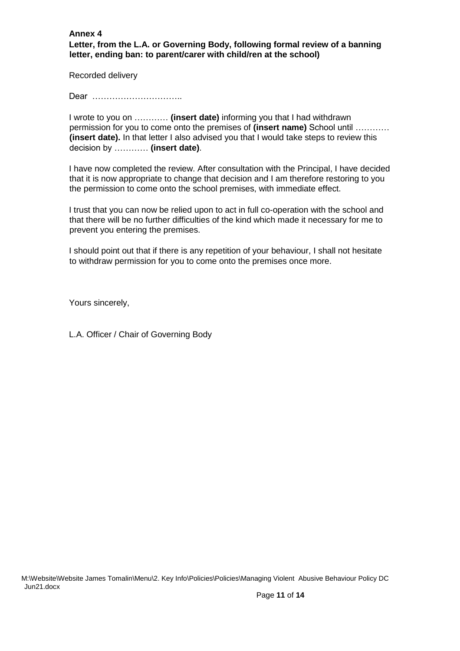**Annex 4 Letter, from the L.A. or Governing Body, following formal review of a banning letter, ending ban: to parent/carer with child/ren at the school)** 

Recorded delivery

Dear …………………………..

I wrote to you on ………… **(insert date)** informing you that I had withdrawn permission for you to come onto the premises of **(insert name)** School until ………… **(insert date).** In that letter I also advised you that I would take steps to review this decision by ………… **(insert date)**.

I have now completed the review. After consultation with the Principal, I have decided that it is now appropriate to change that decision and I am therefore restoring to you the permission to come onto the school premises, with immediate effect.

I trust that you can now be relied upon to act in full co-operation with the school and that there will be no further difficulties of the kind which made it necessary for me to prevent you entering the premises.

I should point out that if there is any repetition of your behaviour, I shall not hesitate to withdraw permission for you to come onto the premises once more.

Yours sincerely,

L.A. Officer / Chair of Governing Body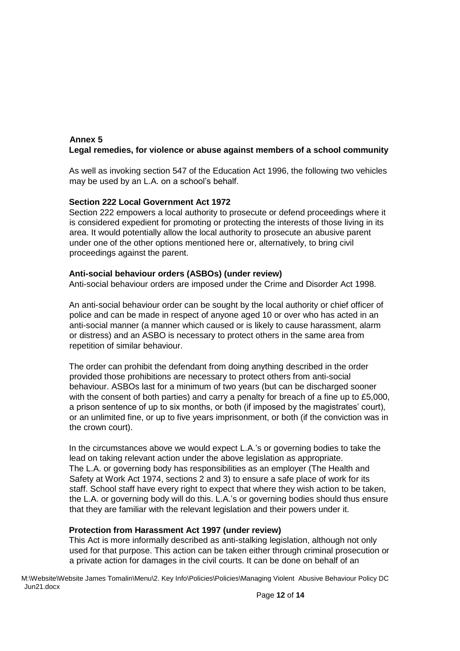#### **Annex 5 Legal remedies, for violence or abuse against members of a school community**

As well as invoking section 547 of the Education Act 1996, the following two vehicles may be used by an L.A. on a school's behalf.

#### **Section 222 Local Government Act 1972**

Section 222 empowers a local authority to prosecute or defend proceedings where it is considered expedient for promoting or protecting the interests of those living in its area. It would potentially allow the local authority to prosecute an abusive parent under one of the other options mentioned here or, alternatively, to bring civil proceedings against the parent.

#### **Anti-social behaviour orders (ASBOs) (under review)**

Anti-social behaviour orders are imposed under the Crime and Disorder Act 1998.

An anti-social behaviour order can be sought by the local authority or chief officer of police and can be made in respect of anyone aged 10 or over who has acted in an anti-social manner (a manner which caused or is likely to cause harassment, alarm or distress) and an ASBO is necessary to protect others in the same area from repetition of similar behaviour.

The order can prohibit the defendant from doing anything described in the order provided those prohibitions are necessary to protect others from anti-social behaviour. ASBOs last for a minimum of two years (but can be discharged sooner with the consent of both parties) and carry a penalty for breach of a fine up to £5,000, a prison sentence of up to six months, or both (if imposed by the magistrates' court), or an unlimited fine, or up to five years imprisonment, or both (if the conviction was in the crown court).

In the circumstances above we would expect L.A.'s or governing bodies to take the lead on taking relevant action under the above legislation as appropriate. The L.A. or governing body has responsibilities as an employer (The Health and Safety at Work Act 1974, sections 2 and 3) to ensure a safe place of work for its staff. School staff have every right to expect that where they wish action to be taken, the L.A. or governing body will do this. L.A.'s or governing bodies should thus ensure that they are familiar with the relevant legislation and their powers under it.

#### **Protection from Harassment Act 1997 (under review)**

This Act is more informally described as anti-stalking legislation, although not only used for that purpose. This action can be taken either through criminal prosecution or a private action for damages in the civil courts. It can be done on behalf of an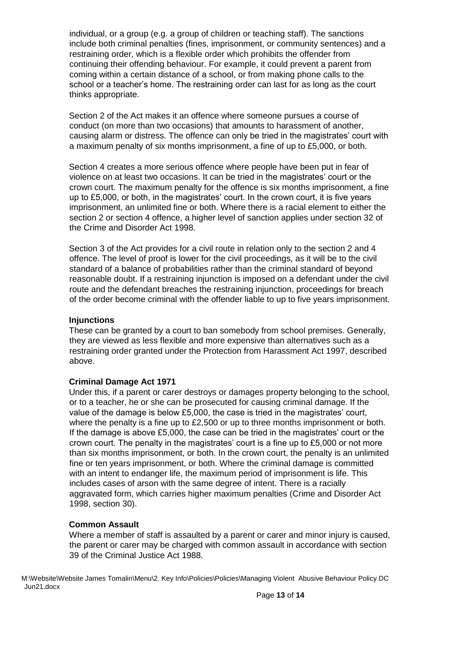individual, or a group (e.g. a group of children or teaching staff). The sanctions include both criminal penalties (fines, imprisonment, or community sentences) and a restraining order, which is a flexible order which prohibits the offender from continuing their offending behaviour. For example, it could prevent a parent from coming within a certain distance of a school, or from making phone calls to the school or a teacher's home. The restraining order can last for as long as the court thinks appropriate.

Section 2 of the Act makes it an offence where someone pursues a course of conduct (on more than two occasions) that amounts to harassment of another, causing alarm or distress. The offence can only be tried in the magistrates' court with a maximum penalty of six months imprisonment, a fine of up to £5,000, or both.

Section 4 creates a more serious offence where people have been put in fear of violence on at least two occasions. It can be tried in the magistrates' court or the crown court. The maximum penalty for the offence is six months imprisonment, a fine up to £5,000, or both, in the magistrates' court. In the crown court, it is five years imprisonment, an unlimited fine or both. Where there is a racial element to either the section 2 or section 4 offence, a higher level of sanction applies under section 32 of the Crime and Disorder Act 1998.

Section 3 of the Act provides for a civil route in relation only to the section 2 and 4 offence. The level of proof is lower for the civil proceedings, as it will be to the civil standard of a balance of probabilities rather than the criminal standard of beyond reasonable doubt. If a restraining injunction is imposed on a defendant under the civil route and the defendant breaches the restraining injunction, proceedings for breach of the order become criminal with the offender liable to up to five years imprisonment.

#### **Injunctions**

These can be granted by a court to ban somebody from school premises. Generally, they are viewed as less flexible and more expensive than alternatives such as a restraining order granted under the Protection from Harassment Act 1997, described above.

#### **Criminal Damage Act 1971**

Under this, if a parent or carer destroys or damages property belonging to the school, or to a teacher, he or she can be prosecuted for causing criminal damage. If the value of the damage is below £5,000, the case is tried in the magistrates' court, where the penalty is a fine up to £2,500 or up to three months imprisonment or both. If the damage is above £5,000, the case can be tried in the magistrates' court or the crown court. The penalty in the magistrates' court is a fine up to £5,000 or not more than six months imprisonment, or both. In the crown court, the penalty is an unlimited fine or ten years imprisonment, or both. Where the criminal damage is committed with an intent to endanger life, the maximum period of imprisonment is life. This includes cases of arson with the same degree of intent. There is a racially aggravated form, which carries higher maximum penalties (Crime and Disorder Act 1998, section 30).

#### **Common Assault**

Where a member of staff is assaulted by a parent or carer and minor injury is caused, the parent or carer may be charged with common assault in accordance with section 39 of the Criminal Justice Act 1988.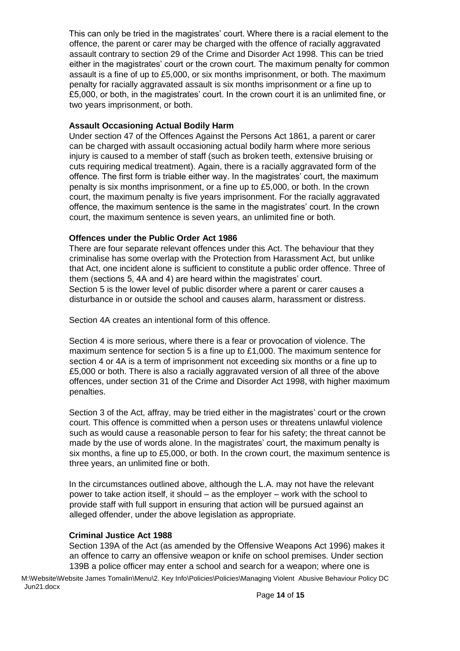This can only be tried in the magistrates' court. Where there is a racial element to the offence, the parent or carer may be charged with the offence of racially aggravated assault contrary to section 29 of the Crime and Disorder Act 1998. This can be tried either in the magistrates' court or the crown court. The maximum penalty for common assault is a fine of up to £5,000, or six months imprisonment, or both. The maximum penalty for racially aggravated assault is six months imprisonment or a fine up to £5,000, or both, in the magistrates' court. In the crown court it is an unlimited fine, or two years imprisonment, or both.

#### **Assault Occasioning Actual Bodily Harm**

Under section 47 of the Offences Against the Persons Act 1861, a parent or carer can be charged with assault occasioning actual bodily harm where more serious injury is caused to a member of staff (such as broken teeth, extensive bruising or cuts requiring medical treatment). Again, there is a racially aggravated form of the offence. The first form is triable either way. In the magistrates' court, the maximum penalty is six months imprisonment, or a fine up to £5,000, or both. In the crown court, the maximum penalty is five years imprisonment. For the racially aggravated offence, the maximum sentence is the same in the magistrates' court. In the crown court, the maximum sentence is seven years, an unlimited fine or both.

#### **Offences under the Public Order Act 1986**

There are four separate relevant offences under this Act. The behaviour that they criminalise has some overlap with the Protection from Harassment Act, but unlike that Act, one incident alone is sufficient to constitute a public order offence. Three of them (sections 5, 4A and 4) are heard within the magistrates' court. Section 5 is the lower level of public disorder where a parent or carer causes a disturbance in or outside the school and causes alarm, harassment or distress.

Section 4A creates an intentional form of this offence.

Section 4 is more serious, where there is a fear or provocation of violence. The maximum sentence for section 5 is a fine up to £1,000. The maximum sentence for section 4 or 4A is a term of imprisonment not exceeding six months or a fine up to £5,000 or both. There is also a racially aggravated version of all three of the above offences, under section 31 of the Crime and Disorder Act 1998, with higher maximum penalties.

Section 3 of the Act, affray, may be tried either in the magistrates' court or the crown court. This offence is committed when a person uses or threatens unlawful violence such as would cause a reasonable person to fear for his safety; the threat cannot be made by the use of words alone. In the magistrates' court, the maximum penalty is six months, a fine up to £5,000, or both. In the crown court, the maximum sentence is three years, an unlimited fine or both.

In the circumstances outlined above, although the L.A. may not have the relevant power to take action itself, it should – as the employer – work with the school to provide staff with full support in ensuring that action will be pursued against an alleged offender, under the above legislation as appropriate.

#### **Criminal Justice Act 1988**

Section 139A of the Act (as amended by the Offensive Weapons Act 1996) makes it an offence to carry an offensive weapon or knife on school premises. Under section 139B a police officer may enter a school and search for a weapon; where one is